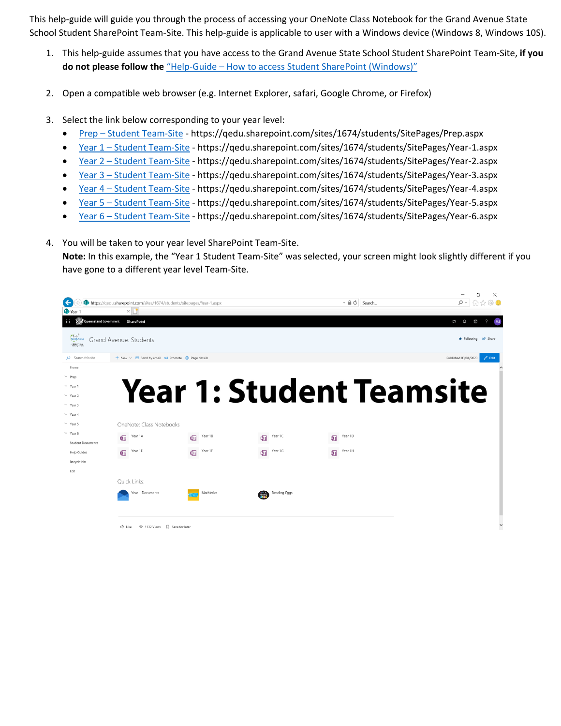This help-guide will guide you through the process of accessing your OneNote Class Notebook for the Grand Avenue State School Student SharePoint Team-Site. This help-guide is applicable to user with a Windows device (Windows 8, Windows 10S).

- 1. This help-guide assumes that you have access to the Grand Avenue State School Student SharePoint Team-Site, **if you do not please follow the** "Help-Guide – [How to access Student SharePoint \(Windows\)](https://grandavenuess.eq.edu.au/SupportAndResources/FormsAndDocuments/Documents/BYOx%20documents/Help-Guide%20-%20How%20to%20access%20Student%20SharePoint%20(Windows).pdf)"
- 2. Open a compatible web browser (e.g. Internet Explorer, safari, Google Chrome, or Firefox)
- 3. Select the link below corresponding to your year level:
	- Prep [Student Team-Site](https://qedu.sharepoint.com/sites/1674/students/SitePages/Prep.aspx) https://qedu.sharepoint.com/sites/1674/students/SitePages/Prep.aspx
	- Year 1 [Student Team-Site](https://qedu.sharepoint.com/sites/1674/students/SitePages/Year-1.aspx) https://qedu.sharepoint.com/sites/1674/students/SitePages/Year-1.aspx
	- Year 2 [Student Team-Site](https://qedu.sharepoint.com/sites/1674/students/SitePages/Year-2.aspx) https://qedu.sharepoint.com/sites/1674/students/SitePages/Year-2.aspx
	- Year 3 [Student Team-Site](https://qedu.sharepoint.com/sites/1674/students/SitePages/Year-3.aspx) https://qedu.sharepoint.com/sites/1674/students/SitePages/Year-3.aspx
	- Year 4 [Student Team-Site](https://qedu.sharepoint.com/sites/1674/students/SitePages/Year-4.aspx) https://qedu.sharepoint.com/sites/1674/students/SitePages/Year-4.aspx
	- Year 5 [Student Team-Site](https://qedu.sharepoint.com/sites/1674/students/SitePages/Year-5.aspx) https://qedu.sharepoint.com/sites/1674/students/SitePages/Year-5.aspx
	- Year 6 [Student Team-Site](Year%206%20–%20Student%20Team-Site) https://qedu.sharepoint.com/sites/1674/students/SitePages/Year-6.aspx
- 4. You will be taken to your year level SharePoint Team-Site.

**Note:** In this example, the "Year 1 Student Team-Site" was selected, your screen might look slightly different if you have gone to a different year level Team-Site.

|                                                      |                                                                       |              |                                 |                          | ΓV<br>$\times$                                                                                                                                                                                                                                                                                                                                                    |  |
|------------------------------------------------------|-----------------------------------------------------------------------|--------------|---------------------------------|--------------------------|-------------------------------------------------------------------------------------------------------------------------------------------------------------------------------------------------------------------------------------------------------------------------------------------------------------------------------------------------------------------|--|
| ←                                                    | https://gedu.sharepoint.com/sites/1674/students/sitepages/Year-1.aspx |              |                                 | $   -$<br>Search         | $\rho$ - $\bigcap_{i=1}^n \bigcap_{i=1}^n \bigoplus_{j=1}^n \bigcup_{j=1}^n \bigcup_{j=1}^n \bigcap_{j=1}^n \bigcap_{j=1}^n \bigcap_{j=1}^n \bigcap_{j=1}^n \bigcap_{j=1}^n \bigcap_{j=1}^n \bigcap_{j=1}^n \bigcap_{j=1}^n \bigcap_{j=1}^n \bigcap_{j=1}^n \bigcap_{j=1}^n \bigcap_{j=1}^n \bigcap_{j=1}^n \bigcap_{j=1}^n \bigcap_{j=1}^n \bigcap_{j=1}^n \big$ |  |
| Year '                                               | $\times$    $\Box$                                                    |              |                                 |                          |                                                                                                                                                                                                                                                                                                                                                                   |  |
| <b>LEAR</b> Queensland Government<br><b>THE</b>      | <b>SharePoint</b>                                                     |              |                                 |                          | $\Omega$<br>$\mathcal{P}$<br>103<br>ĥ<br><b>JM</b>                                                                                                                                                                                                                                                                                                                |  |
| <b>Crash</b> Avenue<br>Children Car<br>Collaby to Be | Grand Avenue: Students                                                |              |                                 |                          | ★ Following Le Share                                                                                                                                                                                                                                                                                                                                              |  |
| C Search this site                                   | + New $\vee$ ⊠ Send by email < Promote © Page details                 |              |                                 |                          | Published 03/04/2020<br>$\mathscr O$ Edit                                                                                                                                                                                                                                                                                                                         |  |
| Home                                                 |                                                                       |              |                                 |                          |                                                                                                                                                                                                                                                                                                                                                                   |  |
| $\vee$ Prep                                          |                                                                       |              |                                 |                          |                                                                                                                                                                                                                                                                                                                                                                   |  |
| $\vee$ Year 1                                        |                                                                       |              |                                 |                          |                                                                                                                                                                                                                                                                                                                                                                   |  |
| $\vee$ Year 2                                        |                                                                       |              |                                 | Year 1: Student Teamsite |                                                                                                                                                                                                                                                                                                                                                                   |  |
| $\vee$ Year 3                                        |                                                                       |              |                                 |                          |                                                                                                                                                                                                                                                                                                                                                                   |  |
| $\vee$ Year 4                                        |                                                                       |              |                                 |                          |                                                                                                                                                                                                                                                                                                                                                                   |  |
| $\vee$ Year 5                                        | OneNote: Class Notebooks                                              |              |                                 |                          |                                                                                                                                                                                                                                                                                                                                                                   |  |
| $\vee$ Year 6                                        | Year 1A<br>帼                                                          | Year 1B<br>啯 | Year 1C<br>啯                    | Year 1D<br>喕             |                                                                                                                                                                                                                                                                                                                                                                   |  |
| <b>Student Documents</b>                             |                                                                       |              |                                 |                          |                                                                                                                                                                                                                                                                                                                                                                   |  |
| <b>Help Guides</b>                                   | Year 1E<br>啯                                                          | Year 1F<br>啯 | Year 1G<br>啯                    | Year 1H<br>嘔             |                                                                                                                                                                                                                                                                                                                                                                   |  |
| Recycle bin                                          |                                                                       |              |                                 |                          |                                                                                                                                                                                                                                                                                                                                                                   |  |
| Edit                                                 |                                                                       |              |                                 |                          |                                                                                                                                                                                                                                                                                                                                                                   |  |
|                                                      | <b>Ouick Links:</b>                                                   |              |                                 |                          |                                                                                                                                                                                                                                                                                                                                                                   |  |
|                                                      | Year 1 Documents                                                      | Mathletics   | Reading Eggs<br>$rac{1}{26666}$ |                          |                                                                                                                                                                                                                                                                                                                                                                   |  |
|                                                      |                                                                       |              |                                 |                          |                                                                                                                                                                                                                                                                                                                                                                   |  |
|                                                      |                                                                       |              |                                 |                          |                                                                                                                                                                                                                                                                                                                                                                   |  |
|                                                      | ⊙ 1132 Views □ Save for later                                         |              |                                 |                          |                                                                                                                                                                                                                                                                                                                                                                   |  |
|                                                      | ු Like                                                                |              |                                 |                          | ٧                                                                                                                                                                                                                                                                                                                                                                 |  |